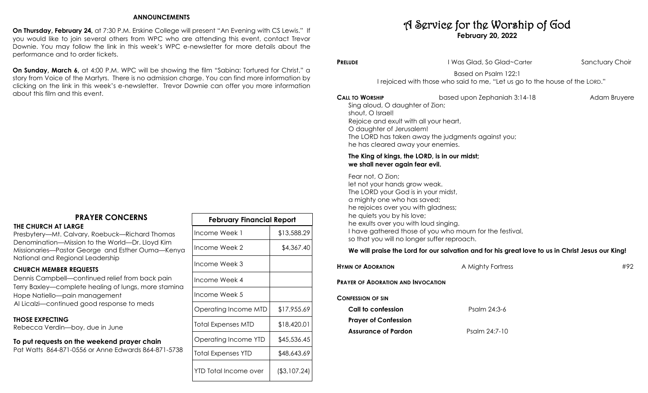## **ANNOUNCEMENTS**

**On Thursday, February 24,** at 7:30 P.M. Erskine College will present "An Evening with CS Lewis." If you would like to join several others from WPC who are attending this event, contact Trevor Downie. You may follow the link in this week's WPC e-newsletter for more details about the performance and to order tickets.

**On Sunday, March 6,** at 4:00 P.M. WPC will be showing the film "Sabina: Tortured for Christ," a story from Voice of the Martyrs. There is no admission charge. You can find more information by clicking on the link in this week's e-newsletter. Trevor Downie can offer you more information about this film and this event.

# **PRAYER CONCERNS**

#### **THE CHURCH AT LARGE**

Presbytery—Mt. Calvary, Roebuck—Richard Thomas Denomination—Mission to the World—Dr. Lloyd Kim Missionaries—Pastor George and Esther Ouma—Kenya National and Regional Leadership

## **CHURCH MEMBER REQUESTS**

Dennis Campbell—continued relief from back pain Terry Baxley—complete healing of lungs, more stamina Hope Natiello—pain management Al Licalzi—continued good response to meds

## **THOSE EXPECTING**

Rebecca Verdin—boy, due in June

# **To put requests on the weekend prayer chain**

Pat Watts 864-871-0556 or Anne Edwards 864-871-5738

| <b>February Financial Report</b> |                |  |
|----------------------------------|----------------|--|
| Income Week 1                    | \$13,588.29    |  |
| Income Week 2                    | \$4,367.40     |  |
| Income Week 3                    |                |  |
| Income Week 4                    |                |  |
| Income Week 5                    |                |  |
| Operating Income MTD             | \$17,955.69    |  |
| Total Expenses MTD               | \$18,420.01    |  |
| Operating Income YTD             | \$45,536.45    |  |
| Total Expenses YTD               | \$48,643.69    |  |
| YTD Total Income over            | ( \$3, 107.24) |  |

# A Service for the Worship of God **February 20, 2022**

**PRELUDE CONSUMER SANCE I** Was Glad, So Glad~Carter **Sanctuary Choir** 

Based on Psalm 122:1 I rejoiced with those who said to me, "Let us go to the house of the LORD."

**CALL TO WORSHIP based upon Zephaniah 3:14-18** Adam Bruyere Sing aloud, O daughter of Zion; shout, O Israel! Rejoice and exult with all your heart, O daughter of Jerusalem! The LORD has taken away the judgments against you; he has cleared away your enemies.

## **The King of kings, the LORD, is in our midst; we shall never again fear evil.**

Fear not, O Zion; let not your hands grow weak. The LORD your God is in your midst, a mighty one who has saved; he rejoices over you with gladness; he quiets you by his love; he exults over you with loud singing. I have gathered those of you who mourn for the festival, so that you will no longer suffer reproach.

# **We will praise the Lord for our salvation and for his great love to us in Christ Jesus our King!**

| <b>HYMN OF ADORATION</b>                  | A Mighty Fortress | #92 |
|-------------------------------------------|-------------------|-----|
| <b>PRAYER OF ADORATION AND INVOCATION</b> |                   |     |
| <b>CONFESSION OF SIN</b>                  |                   |     |
| Call to confession                        | Psalm 24:3-6      |     |
| <b>Prayer of Confession</b>               |                   |     |
| <b>Assurance of Pardon</b>                | Psalm 24:7-10     |     |
|                                           |                   |     |